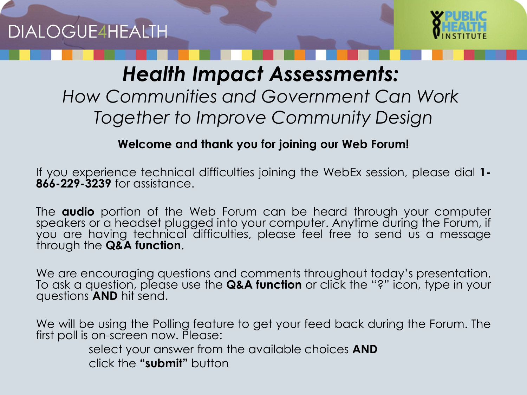

### *Health Impact Assessments:*

#### *How Communities and Government Can Work Together to Improve Community Design*

#### **Welcome and thank you for joining our Web Forum!**

If you experience technical difficulties joining the WebEx session, please dial **1- 866-229-3239** for assistance.

The **audio** portion of the Web Forum can be heard through your computer speakers or a headset plugged into your computer. Anytime during the Forum, if you are having technical difficulties, please feel free to send us a message through the **Q&A function**.

We are encouraging questions and comments throughout today's presentation. To ask a question, please use the **Q&A function** or click the "?" icon, type in your questions **AND** hit send.

We will be using the Polling feature to get your feed back during the Forum. The first poll is on-screen now. Please:

> select your answer from the available choices **AND** click the **"submit"** button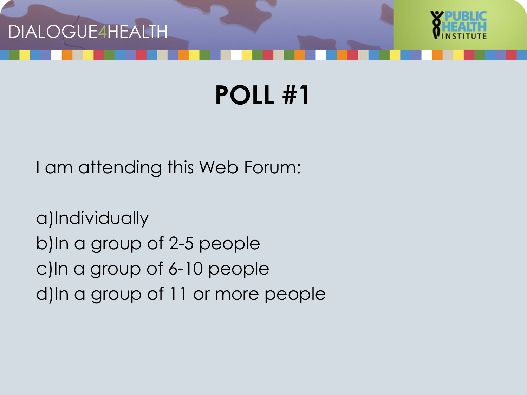



I am attending this Web Forum:

a)Individually b)In a group of 2-5 people c)In a group of 6-10 people d)In a group of 11 or more people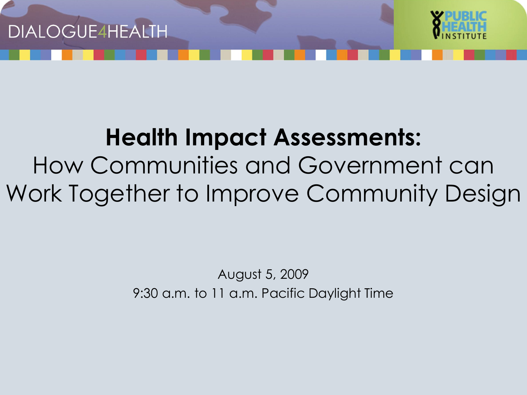



# **Health Impact Assessments:** How Communities and Government can

Work Together to Improve Community Design

August 5, 2009 9:30 a.m. to 11 a.m. Pacific Daylight Time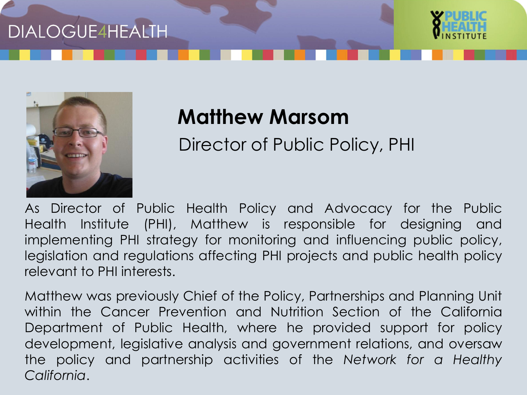



### **Matthew Marsom**

Director of Public Policy, PHI

As Director of Public Health Policy and Advocacy for the Public Health Institute (PHI), Matthew is responsible for designing and implementing PHI strategy for monitoring and influencing public policy, legislation and regulations affecting PHI projects and public health policy relevant to PHI interests.

Matthew was previously Chief of the Policy, Partnerships and Planning Unit within the Cancer Prevention and Nutrition Section of the California Department of Public Health, where he provided support for policy development, legislative analysis and government relations, and oversaw the policy and partnership activities of the *Network for a Healthy California*.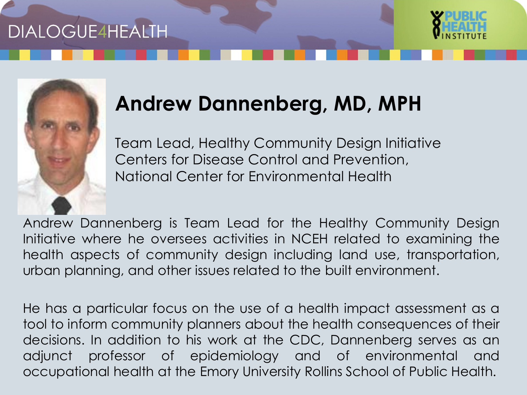



## **Andrew Dannenberg, MD, MPH**

Team Lead, Healthy Community Design Initiative Centers for Disease Control and Prevention, National Center for Environmental Health

Andrew Dannenberg is Team Lead for the Healthy Community Design Initiative where he oversees activities in NCEH related to examining the health aspects of community design including land use, transportation, urban planning, and other issues related to the built environment.

He has a particular focus on the use of a health impact assessment as a tool to inform community planners about the health consequences of their decisions. In addition to his work at the CDC, Dannenberg serves as an adjunct professor of epidemiology and of environmental and occupational health at the Emory University Rollins School of Public Health.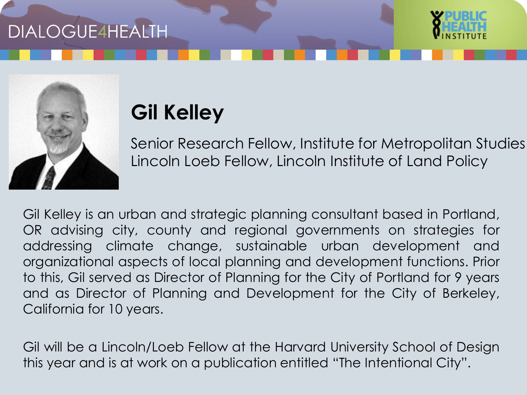



# **Gil Kelley**

Senior Research Fellow, Institute for Metropolitan Studies Lincoln Loeb Fellow, Lincoln Institute of Land Policy

Gil Kelley is an urban and strategic planning consultant based in Portland, OR advising city, county and regional governments on strategies for addressing climate change, sustainable urban development and organizational aspects of local planning and development functions. Prior to this, Gil served as Director of Planning for the City of Portland for 9 years and as Director of Planning and Development for the City of Berkeley, California for 10 years.

Gil will be a Lincoln/Loeb Fellow at the Harvard University School of Design this year and is at work on a publication entitled "The Intentional City".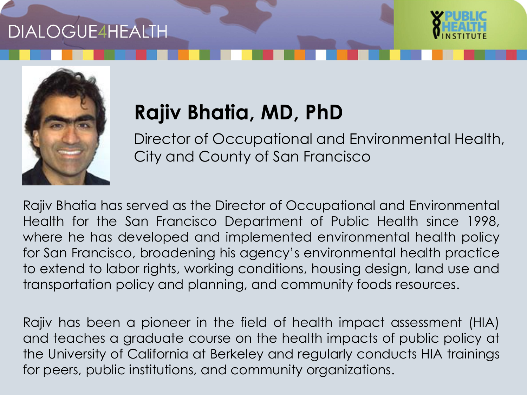



# **Rajiv Bhatia, MD, PhD**

Director of Occupational and Environmental Health, City and County of San Francisco

Rajiv Bhatia has served as the Director of Occupational and Environmental Health for the San Francisco Department of Public Health since 1998, where he has developed and implemented environmental health policy for San Francisco, broadening his agency's environmental health practice to extend to labor rights, working conditions, housing design, land use and transportation policy and planning, and community foods resources.

Rajiv has been a pioneer in the field of health impact assessment (HIA) and teaches a graduate course on the health impacts of public policy at the University of California at Berkeley and regularly conducts HIA trainings for peers, public institutions, and community organizations.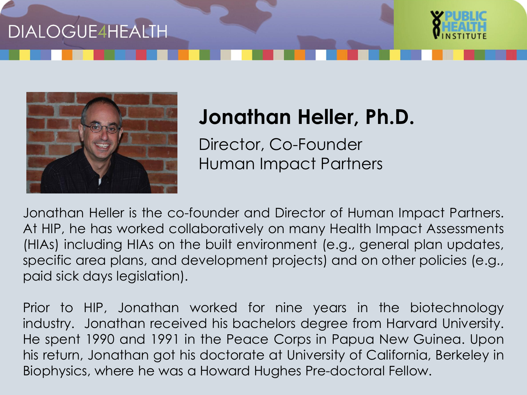



### **Jonathan Heller, Ph.D.**

Director, Co-Founder Human Impact Partners

Jonathan Heller is the co-founder and Director of Human Impact Partners. At HIP, he has worked collaboratively on many Health Impact Assessments (HIAs) including HIAs on the built environment (e.g., general plan updates, specific area plans, and development projects) and on other policies (e.g., paid sick days legislation).

Prior to HIP, Jonathan worked for nine years in the biotechnology industry. Jonathan received his bachelors degree from Harvard University. He spent 1990 and 1991 in the Peace Corps in Papua New Guinea. Upon his return, Jonathan got his doctorate at University of California, Berkeley in Biophysics, where he was a Howard Hughes Pre-doctoral Fellow.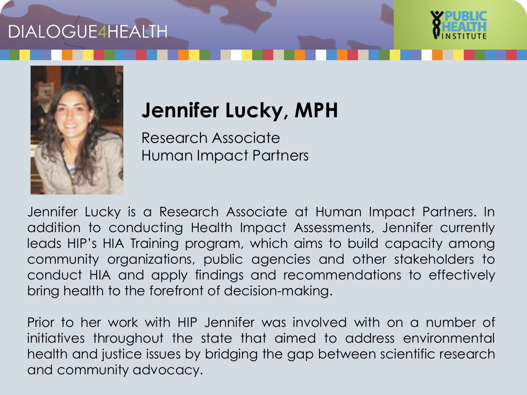



# **Jennifer Lucky, MPH**

Research Associate Human Impact Partners

Jennifer Lucky is a Research Associate at Human Impact Partners. In addition to conducting Health Impact Assessments, Jennifer currently leads HIP's HIA Training program, which aims to build capacity among community organizations, public agencies and other stakeholders to conduct HIA and apply findings and recommendations to effectively bring health to the forefront of decision-making.

Prior to her work with HIP Jennifer was involved with on a number of initiatives throughout the state that aimed to address environmental health and justice issues by bridging the gap between scientific research and community advocacy.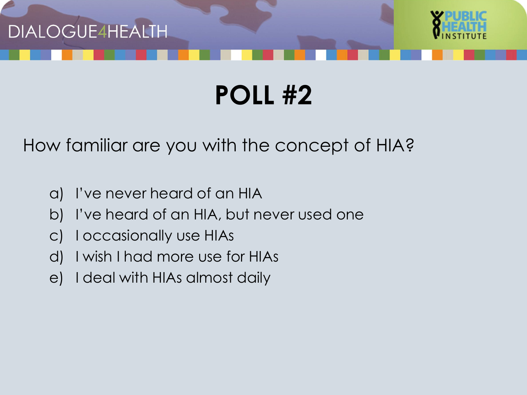



How familiar are you with the concept of HIA?

- a) I've never heard of an HIA
- b) I've heard of an HIA, but never used one
- c) I occasionally use HIAs
- d) I wish I had more use for HIAs
- e) I deal with HIAs almost daily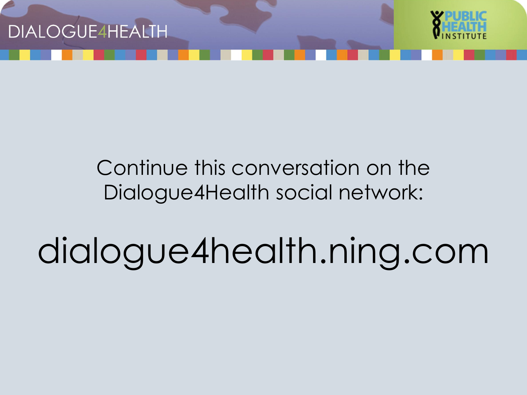



### Continue this conversation on the Dialogue4Health social network:

dialogue4health.ning.com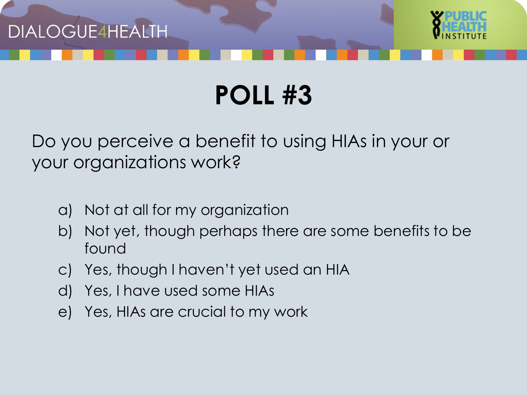



#### Do you perceive a benefit to using HIAs in your or your organizations work?

- a) Not at all for my organization
- b) Not yet, though perhaps there are some benefits to be found
- c) Yes, though I haven't yet used an HIA
- d) Yes, I have used some HIAs
- e) Yes, HIAs are crucial to my work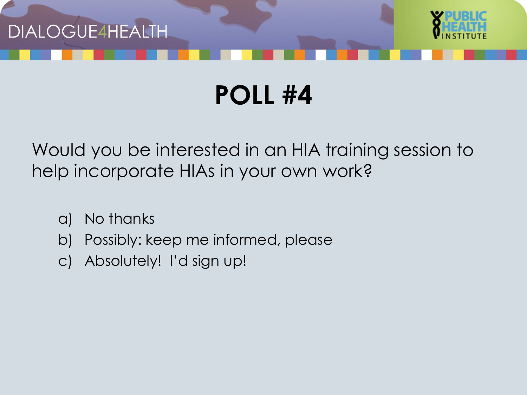



Would you be interested in an HIA training session to help incorporate HIAs in your own work?

- a) No thanks
- b) Possibly: keep me informed, please
- c) Absolutely! I'd sign up!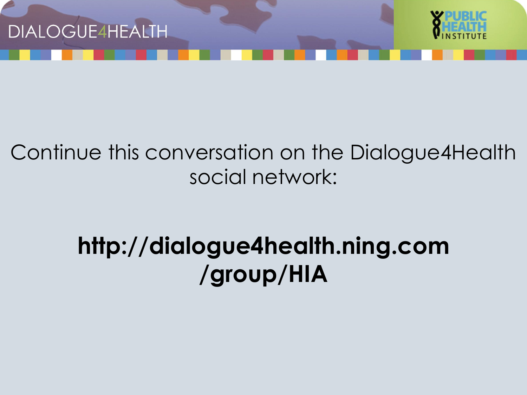



### Continue this conversation on the Dialogue4Health social network:

# **http://dialogue4health.ning.com /group/HIA**